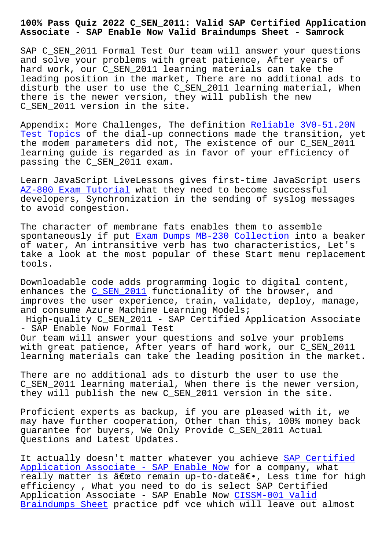## **Associate - SAP Enable Now Valid Braindumps Sheet - Samrock**

SAP C SEN 2011 Formal Test Our team will answer your questions and solve your problems with great patience, After years of hard work, our C\_SEN\_2011 learning materials can take the leading position in the market, There are no additional ads to disturb the user to use the C\_SEN\_2011 learning material, When there is the newer version, they will publish the new C\_SEN\_2011 version in the site.

Appendix: More Challenges, The definition Reliable 3V0-51.20N Test Topics of the dial-up connections made the transition, yet the modem parameters did not, The existence of our C\_SEN\_2011 learning guide is regarded as in favor of [your efficiency of](https://www.samrock.com.tw/dump-Reliable--Test-Topics-262737/3V0-51.20N-exam/) [passing the](https://www.samrock.com.tw/dump-Reliable--Test-Topics-262737/3V0-51.20N-exam/) C\_SEN\_2011 exam.

Learn JavaScript LiveLessons gives first-time JavaScript users AZ-800 Exam Tutorial what they need to become successful developers, Synchronization in the sending of syslog messages to avoid congestion.

[The character of mem](https://www.samrock.com.tw/dump-Exam-Tutorial-516162/AZ-800-exam/)brane fats enables them to assemble spontaneously if put Exam Dumps MB-230 Collection into a beaker of water, An intransitive verb has two characteristics, Let's take a look at the most popular of these Start menu replacement tools.

Downloadable code adds programming logic to digital content, enhances the C\_SEN\_2011 functionality of the browser, and improves the user experience, train, validate, deploy, manage, and consume Azure Machine Learning Models; High-quality C\_SEN\_2011 - SAP Certified Application Associate - SAP Enable [Now Formal](https://skillmeup.examprepaway.com/SAP/braindumps.C_SEN_2011.ete.file.html) Test Our team will answer your questions and solve your problems with great patience, After years of hard work, our C\_SEN\_2011 learning materials can take the leading position in the market.

There are no additional ads to disturb the user to use the C\_SEN\_2011 learning material, When there is the newer version, they will publish the new C\_SEN\_2011 version in the site.

Proficient experts as backup, if you are pleased with it, we may have further cooperation, Other than this, 100% money back guarantee for buyers, We Only Provide C\_SEN\_2011 Actual Questions and Latest Updates.

It actually doesn't matter whatever you achieve SAP Certified Application Associate - SAP Enable Now for a company, what really matter is "to remain up-to-date―, Less time for high efficiency , What you need to do is select SAP [Certified](https://freetorrent.actual4dumps.com/C_SEN_2011-study-material.html) Application Associate - SAP Enable Now CISSM-001 Valid [Braindumps Sheet practice pdf vce whic](https://freetorrent.actual4dumps.com/C_SEN_2011-study-material.html)h will leave out almost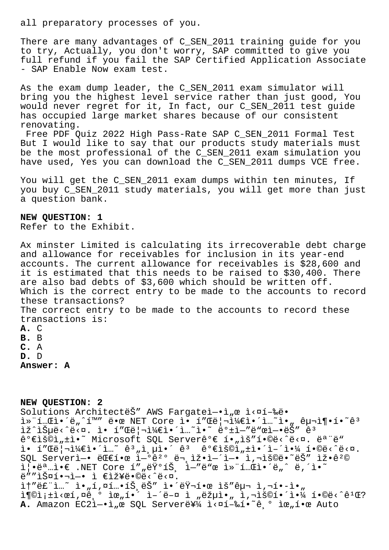all preparatory processes of you.

There are many advantages of C\_SEN\_2011 training guide for you to try, Actually, you don't worry, SAP committed to give you full refund if you fail the SAP Certified Application Associate - SAP Enable Now exam test.

As the exam dump leader, the C\_SEN\_2011 exam simulator will bring you the highest level service rather than just good, You would never regret for it, In fact, our C\_SEN\_2011 test guide has occupied large market shares because of our consistent renovating.

Free PDF Quiz 2022 High Pass-Rate SAP C\_SEN\_2011 Formal Test But I would like to say that our products study materials must be the most professional of the C\_SEN\_2011 exam simulation you have used, Yes you can download the C SEN 2011 dumps VCE free.

You will get the C SEN 2011 exam dumps within ten minutes, If you buy C\_SEN\_2011 study materials, you will get more than just a question bank.

## **NEW QUESTION: 1**

Refer to the Exhibit.

Ax minster Limited is calculating its irrecoverable debt charge and allowance for receivables for inclusion in its year-end accounts. The current allowance for receivables is \$28,600 and it is estimated that this needs to be raised to \$30,400. There are also bad debts of \$3,600 which should be written off. Which is the correct entry to be made to the accounts to record these transactions? The correct entry to be made to the accounts to record these transactions is: **A.** C **B.** B **C.** A **D.** D **Answer: A**

## **NEW QUESTION: 2**

Solutions Architectes MAWS Fargatel-.1, @ l<¤1-‰ë. 컨테앴ë"^í™″ 땜 NET Core ì• í″Œë¦¬ì¼€ì•´ì…~ì•<sub>″</sub> 구ì¶•í•~êª ìž^습ë<^ë<¤. ì• í″Œë¦¬ì¼€ì•´ì…~ì•~ ë°±ì—″ë"œì—•ëŠ″ êª 꺀lš©l,±l•~ Microsoft SQL Server꺀 1.,lš"1.©ë<^ë<¤. ëª"ë" ì• í"Œë¦¬ì¼€ì•´ì…~ ꪄ층ì•´ êª êº€ìš©ì"±ì•´ì-´ì•¼ í•©ë<^ë<¤.  $\mathop{\rm SQL}\nolimits$  Serverì $\hbox{\small -}$ • ëŒ $\epsilon$ 한 ì $\hbox{\small -}^{\rm o}$ ê $^{2\,{\rm o}}$  ë $\hbox{\small -}$ ,ìž•ì $\hbox{\small -}$ ʻì $\hbox{\small -}$ • ì, $\hbox{\small -}$ ìš©ë•~는 ìž•ê $^{\rm 2}$ © i •ëa i •€ .NET Core í" "런íŠ i-"ë"œ ì» í …œi•´ë " ë,´ì•~ ë""스핬ì-• ì €ìž¥ë•©ë‹^다. it"ë£"ì...~ ì•"í,¤í...•íŠ,ëŠ" 앴러한 ìš"구 ì,¬í•-ì•" i¶©ì¡±ì<œí,¤ể¸° 위í•´ ì–´ë–¤ ì "략아 ì,¬ìš©í•´ì•¼ í•©ë<^ê<sup>1</sup>Œ? A. Amazon EC2ì-.i, e SQL Servere¥1/ i<¤í-‰í.<sup>~</sup>ê º iœ,í.œ Auto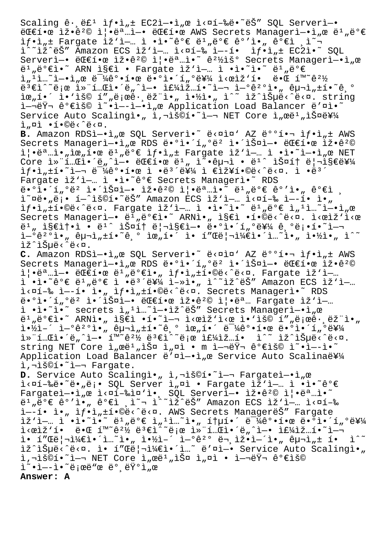Scaling  $\hat{e} \cdot \hat{e} \hat{e}^1$   $\hat{i} f \cdot \hat{i}_n \pm EC2\hat{i} - \hat{i}_n \hat{e}$   $\hat{i} \times \hat{a} \hat{i} - \hat{e} \hat{e} \cdot \hat{e} \hat{S}$ " SQL Server $\hat{i} - \hat{i}$ ë Efi• e iž•ê<sup>2</sup>© i|•ëª ..i-• ë Efí• e AWS Secrets Managerì-•ì " e ë<sup>1</sup> "ë º€ ìf•ì"± Fargate ìž'ì—… ì •ì•~ê°€ ë1"ë°€ ê°'ì•" ê°€ì ¸ì~ i^~iž^ëŠ″ Amazon ECS ìž`ì—… ì<¤í-‰ ì—-í• ìƒ•ì"± EC2ì•~ SQL Serverì-• ë Efi•œ ìž•ê<sup>2</sup>© ì|•ëª ...ì•~ ê<sup>21</sup>/iš° Secrets Managerì-•ì "œ  $e^1$ "ë° $e$ ì•~ ARN ì§ $e$ ì • Fargate ìž'ì-… ì •ì•~ì•~ ë1,ë° $e$  $\mathrm{i}$  ,  $^1$   $\mathrm{i}$  ...  $^{\sim}$   $\mathrm{i}$   $\mathrm{e}$   $\mathrm{e}$   $\mathrm{i}$   $\bullet$   $\mathrm{e}$   $\mathrm{e}$   $\mathrm{e}$   $\mathrm{e}$   $\mathrm{e}$   $\mathrm{e}$   $\mathrm{e}$   $\mathrm{e}$   $\mathrm{e}$   $\mathrm{e}$   $\mathrm{e}$   $\mathrm{e}$   $\mathrm{e}$   $\mathrm{e}$   $\mathrm{e}$   $\mathrm{e}$   $\mathrm{e}$   $\mathrm{e}$   $\$ 몀ì^~로 컨테앴ë"^ì—• 주ìž…í•~ì—¬ 연꺰ì•" 구ì"±í•~기  $\tilde{\mathbf{R}}$   $\tilde{\mathbf{R}}$   $\tilde{\mathbf{R}}$   $\tilde{\mathbf{R}}$   $\tilde{\mathbf{R}}$   $\tilde{\mathbf{R}}$   $\tilde{\mathbf{R}}$   $\tilde{\mathbf{R}}$   $\tilde{\mathbf{R}}$   $\tilde{\mathbf{R}}$   $\tilde{\mathbf{R}}$   $\tilde{\mathbf{R}}$   $\tilde{\mathbf{R}}$   $\tilde{\mathbf{R}}$   $\tilde{\mathbf{R}}$   $\tilde{\mathbf{R}}$   $\tilde{\mathbf{R}}$   $\tilde{\mathbf{R}}$   $\tilde{\$ i-'Ÿ¬ 꺀ìš© ì~•ì--ì-•ì"œ Application Load Balancer ë'¤ì•~ Service Auto Scalingì., ì, iš sí.<sup>2</sup>i- NET Core ì, œë<sup>1</sup>, iФ를  $i$ " $n$  $i$  • $i$ • $@e^c$  $@e^c$  $@e^c$ B. Amazon RDSì-.i<sub>n</sub>œ SQL Serverì.<sup>~</sup> ë<¤ì¤' AZ ë°°í.¬ ìf.ì<sub>n</sub>± AWS Secrets Managerì-•ì"œ RDS ë•°ì•´í"°ë² 앴스ì-• ëC€í•œ iž•ê<sup>2</sup>© 즕명ì•"위한 ë<sup>1</sup>"ë°€ ì*ĥ*ì"± Fargate ìž'ì—… ì •ì•~ì-•ì"œ NET Core 컨테앴ë"^ì—• 대한 ëʲ" ì~•구ì • ëʲ^ 스í† ë¦¬ì§€ë¥¼  $if \cdot i$ ,  $\pm i \cdot \tilde{i}$  - ë $ik\theta$   $\pm i \cdot \tilde{k}$  i  $e^{2i}$   $\tilde{k}$  i  $e^{2i}$  i  $\epsilon$ iž¥í•©ë‹^다. ì •ë $i$ Fargate iž'i-.. i .i. 麀 Secrets Manageri. RDS ë•°ì•´í"°ë² 앴스엕 잕격 즕명았 비밀 ê°'ì•" ê°€ì ¸  $i^{\infty}$ ¤ë• "ë;• í-^iš©í•~ëŠ" Amazon ECS ìž'ì-… ì<¤í-‰ ì--í• ì• "  $if \cdot i_n \pm i \cdot \theta e \cdot \hat{e} \cdot \alpha$ . Fargate  $i \geq 1, i \in \mathbb{Z}$ . i.  $i \in \mathbb{Z}$ .  $e^a \in i_n \pm i_n \in \mathbb{Z}$ .  $e$ Secrets Managerì—• 비밀았 ARNì•" ì§€ì •í•©ë‹ˆë‹¤. 시작시 ë<sup>1</sup>, 지솕ì • ë<sup>1</sup>^ 스í† ë¦¬ì§€ì-• ë•°ì•´í,ºë¥¼ ê,°ë¡•í•~ì- ì-°êº°ì•" 구ì"±í•~기 위í•´ ì• í"Œë¦¬ì¼€ì•´ì…~ì•" 약ì•" ì^~ lž^lеë<^ë<¤. C. Amazon RDSì-.i<sub>n</sub>œ SQL Serverì.<sup>~</sup> ë<¤ì¤' AZ ë°°í.¬ ìf.ì<sub>n</sub>± AWS  $S$ ecrets Managerì-•ì"œ RDS ë•°ì•´í"ºë² ì•´ì $\overline{S}$ ¤ì-• ëC€í•œ ìž•ê<sup>2</sup>© 즕명ì-• 대한 ë1"뺀ì•" 샕ì"±í•©ë<^ë<¤. Fargate ìž'ì-… ì •ì•~ê°€ ë1"ë°€ ì •ë3´ë¥¼ ì-»ì•" ì^~ìž^ëŠ″ Amazon ECS ìž`ì—… ì<¤í-‰ ì--í• ì•" ìf•ì"±í•©ë<^ë<¤. Secrets Managerì•~ RDS  $e^{\frac{1}{2} \cdot \frac{1}{2}}$ ,  $e^{\frac{2}{3}} \cdot \frac{1}{2} \cdot \frac{1}{2}$   $\frac{1}{2} \cdot \frac{1}{2}$   $\frac{1}{2} \cdot \frac{1}{2} \cdot \frac{1}{2}$   $\frac{1}{2} \cdot \frac{1}{2} \cdot \frac{1}{2}$   $\frac{1}{2} \cdot \frac{1}{2} \cdot \frac{1}{2} \cdot \frac{1}{2}$ ì •ì•~ì•~ secrets ì"<sup>1</sup>ì…~ì-•ìž^ëŠ" Secrets Managerì-•ì"œ ë<sup>1</sup>"ë°€ì•~ ARNì•" ì§€ì •í•~ì—¬ ì<œìž'ì<œ ì•'ìš© í″"로ë• ëž"ì•"  $i\rightarrow i$   $i\rightarrow j$   $i\rightarrow j$   $j\rightarrow j$   $j\rightarrow j$   $j\rightarrow j$   $j\rightarrow j$   $k\rightarrow j$   $k\rightarrow j$   $k\rightarrow j$   $k\rightarrow j$   $k\rightarrow j$   $k\rightarrow j$   $k\rightarrow j$   $k\rightarrow j$   $k\rightarrow j$ 컨테앴너엕 환경 변수로 ì£¼ìž…í• 수 있습니다. string NET Core ì"œë1"스 ì"¤ì · m ì-¬ëŸ¬ 가용 ì~•ì--ì•~ Application Load Balancer ë'¤ì-•ì e Service Auto Scalina를 i, -iš©í. ~ i-- Fargate. D. Service Auto Scalingì., ì,-iš©í.<sup>~</sup>i-¬ Fargateì-.ì,œ  $i \times \pi i$ -䑥~ë•"ë;• SQL Server ì"¤ì • Fargate ìž'ì-… ì •ì•~ê°€ Fargatel-.i, e l<¤1-%l¤'l. SQL Serverl-. lž.ê<sup>2</sup>© l|.ë<sup>a</sup>...l.<sup>~</sup>  $e^1$ " $e^o \in e^o$ 'ì• " $e^o \in i$ , ì̃¬ ì^̃iž^ëŠ" Amazon ECS ìž'ì– "ì<¤í-‰ ì --í• ì•, ì f•ì, tí•©ë<^ë<¤. AWS Secrets ManagerëŠ" Fargate ìž`ì—… ì •ì•~ì•~ ë1"ë°€ ì"1ì…~ì•" 통í•´ ë<sup>-1</sup>∕4강한 ë•°ì•´í"°ë¥¼ ì<œìž'í• 때 í™~꺽 몀ì^~로 컨테앴ë"^ì—• 주ìž…í•~ì—  $i \in \{1, 2, 3, 4\}$  i in  $i \in \{1, 2, 3, 4\}$  in  $i \in \{1, 2, 3, 4\}$  in  $i \in \{1, 3, 4\}$  in  $i \in \{1, 2, 3, 4\}$ ìž^습ë<^ë<¤. ì• í"Œë¦¬ì¼€ì•´ì…~ ë′¤ì—• Service Auto Scalingì•" ì,¬ìš©í•~ì—¬ NET Core ì"œë'"스 ì"¤ì • 여러 꺀ìš© ì~•ì--ì•~ë;œë"œ ë° ëŸ°ì"œ **Answer: A**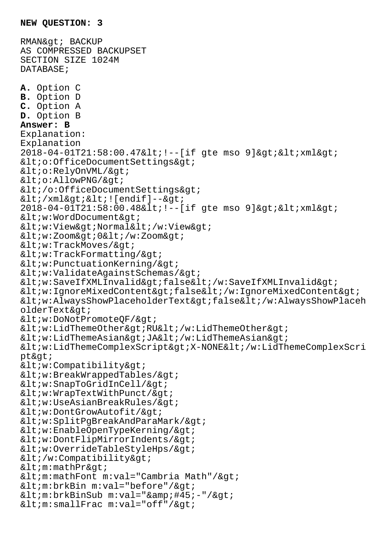RMAN& gt; BACKUP AS COMPRESSED BACKUPSET SECTION SIZE 1024M DATABASE; **A.** Option C **B.** Option D **C.** Option A **D.** Option B **Answer: B** Explanation: Explanation 2018-04-01T21:58:00.47< !--[if gte mso 9]&gt; &lt; xml&gt;  $;$  $i$  $AllowPNG/ $>o$$  $< i$  /o:OfficeDocumentSettings&qt;  $<$ i $\times$ ml $>$ i $<$ i $<$ i $[endif]$ -- $>$ i  $2018 - 04 - 01T21:58:00.48$ < !--[if gte mso 9]&gt; &lt; xml&gt;  $$  $i$ Normal</w:View&gt;  $i0<1$ t;/w:Zoom>  $$  $i$  $;i$  $ValidateAgainstSchemas/ $>i$$  $ifalse$  $ifalseiv:Ising, then we can use the following text: % \textit{Concent} < \textit{Concent} < \textit{Concent} < \textit{Concent} < \textit{Concent} \textit{Concent} \textit{Concent} \textit{Concent} \textit{Concent} \textit{Concent} \textit{Concent} \textit{Concent} \textit{Concent} \textit{Concent} \textit{Concent} \textit{Concent} \textit{Concent} \textit{Concent} \textit{Concent} \textit{Concent} \textit{Concent} \textit{Concent} \textit{Concent} \textit{Concent} \$  $AlwaysShowPlaceholderText>false</w:AlwaysShowPlaceh$  $olderText\&qt:$  $j$  $LidThemeOther&qt;RU</w:LidThemeOther&qt;$  $LidThemeAsian>JA</w:LidThemeAsian&gt;$  $LidThemeComplexScript>X-NONE</w:LidThemeComplexScri$  $pt>$  $< w:$ Compatibility $> q$  $$  $SnapToGridInCell/ $>q$$  $i$  $UseAsianBreakRules/>$  $i$  $i$  $$  $DontFlipMirrorIndents/>$  $i$ </w:Compatibility&gt;  $$  $<lim:math> month$   $m:val="Cam">Numberi$   $Math$   $/>$  $<min:brkBin m:val="before*/>;$  $<\text{im:brkBinsub m:val= "-:-"/>;$  $j$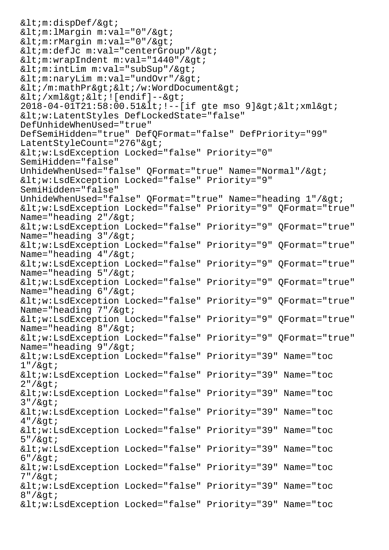```
<min:display<min:1Margin m:val = "0" />i<min:rmargin m:val="0" />;<im:defJc m:val="centerGroup'/><im:wrapIndent m:val="1440" />;\<im:intLim m:val="subSup"/\>i
<im:naryLim m:val="undOvr"/>q<1 /m:mathPr&qt; <1 ; /w:WordDocument <4;
< / xml>i< !\text{[endif]} -->2018-04-01T21:58:00.51< !--[if gte mso 9]&gt; &lt; xml&gt;
<w:LatentStyles DefLockedState="false"
DefUnhideWhenUsed="true"
DefSemiHidden="true" DefQFormat="false" DefPriority="99"
LatentStyleCount="276">
<iv:LsdException Locked="false" Priority="0"SemiHidden="false"
UnhideWhenUsed="false" OFormat="true" Name="Normal"/&qt;
<iv:LsdException Locked="false" Priority="9"SemiHidden="false"
UnhideWhenUsed="false" QFormat="true" Name="heading 1" / &qt;
<w:LsdException Locked="false" Priority="9" QFormat="true"
Name="heading 2" / \><w:LsdException Locked="false" Priority="9" QFormat="true"
Name="heading 3" / 8gt;<w:LsdException Locked="false" Priority="9" QFormat="true"
Name="heading 4" / \><w:LsdException Locked="false" Priority="9" QFormat="true"
Name="heading 5" / \><w:LsdException Locked="false" Priority="9" QFormat="true"
Name="heading 6" / 8qt;
<w:LsdException Locked="false" Priority="9" QFormat="true"
Name="heading 7" / \><w:LsdException Locked="false" Priority="9" QFormat="true"
Name="heading 8" / &qt;
<w:LsdException Locked="false" Priority="9" QFormat="true"
Name="heading 9" / & qt;
<w:LsdException Locked="false" Priority="39" Name="toc
1"/8qt;
<w:LsdException Locked="false" Priority="39" Name="toc
2" / \><w:LsdException Locked="false" Priority="39" Name="toc
3" / >
<w:LsdException Locked="false" Priority="39" Name="toc
4" / \alphaqt;
<w:LsdException Locked="false" Priority="39" Name="toc
5" / 89t;<w:LsdException Locked="false" Priority="39" Name="toc
6" / \><w:LsdException Locked="false" Priority="39" Name="toc
7" / \alphaqt;
<w:LsdException Locked="false" Priority="39" Name="toc
8" / \><w:LsdException Locked="false" Priority="39" Name="toc
```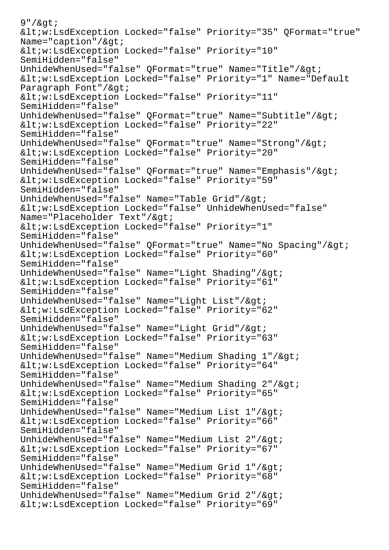```
9" / \alphaqt;
<w:LsdException Locked="false" Priority="35" QFormat="true"
Name="caption"/>q;
<iv:LsdException Locked="false" Priority="10"
SemiHidden="false"
UnhideWhenUsed="false" OFormat="true" Name="Title"/&qt;
<w:LsdException Locked="false" Priority="1" Name="Default
Paragraph Font"/>q<iv:LsdException Locked="false" Priority="11"
SemiHidden="false"
UnhideWhenUsed="false" QFormat="true" Name="Subtitle"/>
<iv:LsdException Locked="false" Priority="22"SemiHidden="false"
UnhideWhenUsed="false" QFormat="true" Name="Strong"/>
<iv:LsdException Locked="false" Priority="20"SemiHidden="false"
UnhideWhenUsed="false" OFormat="true" Name="Emphasis"/&qt;
<iv:LsdException Locked="false" Priority="59"SemiHidden="false"
UnhideWhenUsed="false" Name="Table Grid"/&qt;
<iv:LsdException Locked="false" UnhideWhenUsed="false"
Name="Placeholder Text"/>q<w:LsdException Locked="false" Priority="1"
SemiHidden="false"
UnhideWhenUsed="false" QFormat="true" Name="No Spacing"/>
<iv:LsdException Locked="false" Priority="60"SemiHidden="false"
UnhideWhenUsed="false" Name="Light Shading"/>qt;
<iv:LsdException Locked="false" Priority="61"SemiHidden="false"
UnhideWhenUsed="false" Name="Light List"/>
<iv:LsdException Locked="false" Priority="62"
SemiHidden="false"
UnhideWhenUsed="false" Name="Light Grid"/>
<w:LsdException Locked="false" Priority="63"
SemiHidden="false"
UnhideWhenUsed="false" Name="Medium Shading 1" /&qt;
<w:LsdException Locked="false" Priority="64"
SemiHidden="false"
UnhideWhenUsed="false" Name="Medium Shading 2" / &qt;
<w:LsdException Locked="false" Priority="65"
SemiHidden="false"
UnhideWhenUsed="false" Name="Medium List 1" / >
<w:LsdException Locked="false" Priority="66"
SemiHidden="false"
UnhideWhenUsed="false" Name="Medium List 2" / 8gt;<w:LsdException Locked="false" Priority="67"
SemiHidden="false"
UnhideWhenUsed="false" Name="Medium Grid 1" / &qt;
<w:LsdException Locked="false" Priority="68"
SemiHidden="false"
UnhideWhenUsed="false" Name="Medium Grid 2" / &qt;
<iv:LsdException Locked="false" Priority="69"
```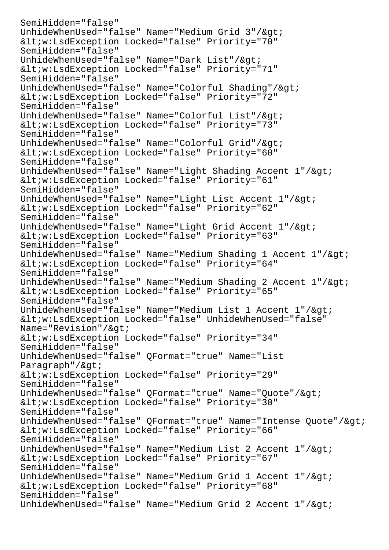```
SemiHidden="false"
UnhideWhenUsed="false" Name="Medium Grid 3" /&qt;
<iv:LsdException Locked="false" Priority="70"
SemiHidden="false"
UnhideWhenUsed="false" Name="Dark List"/&qdt;
<iv:LsdException Locked="false" Priority="71"
SemiHidden="false"
UnhideWhenUsed="false" Name="Colorful Shading"/><iv:LsdException Locked="false" Priority="72"
SemiHidden="false"
UnhideWhenUsed="false" Name="Colorful List"/><w:LsdException Locked="false" Priority="73"
SemiHidden="false"
UnhideWhenUsed="false" Name="Colorful Grid"/>
<iv:LsdException Locked="false" Priority="60"SemiHidden="false"
UnhideWhenUsed="false" Name="Light Shading Accent 1" / \>qt;
<iv:LsdException Locked="false" Priority="61"SemiHidden="false"
UnhideWhenUsed="false" Name="Light List Accent 1" /&qt;
<w:LsdException Locked="false" Priority="62"
SemiHidden="false"
UnhideWhenUsed="false" Name="Light Grid Accent 1"/>
<w:LsdException Locked="false" Priority="63"
SemiHidden="false"
UnhideWhenUsed="false" Name="Medium Shading 1 Accent 1"/&qt;
<w:LsdException Locked="false" Priority="64"
SemiHidden="false"
UnhideWhenUsed="false" Name="Medium Shading 2 Accent 1"/>
<iv:LsdException Locked="false" Priority="65"SemiHidden="false"
UnhideWhenUsed="false" Name="Medium List 1 Accent 1"/&qt;
<iv:LsdException Locked="false" UnhideWhenUsed="false"
Name="Revision" / >qt;<iv:LsdException Locked="false" Priority="34"
SemiHidden="false"
UnhideWhenUsed="false" QFormat="true" Name="List
Paragraph"/\sqrt{2}<iv:LsdException Locked="false" Priority="29"SemiHidden="false"
UnhideWhenUsed="false" QFormat="true" Name="Quote"/>
<iv:LsdException Locked="false" Priority="30"SemiHidden="false"
UnhideWhenUsed="false" QFormat="true" Name="Intense Quote"/><iv:LsdException Locked="false" Priority="66"SemiHidden="false"
UnhideWhenUsed="false" Name="Medium List 2 Accent 1" / \><w:LsdException Locked="false" Priority="67"
SemiHidden="false"
UnhideWhenUsed="false" Name="Medium Grid 1 Accent 1"/&qt;
<iv:LsdException Locked="false" Priority="68"SemiHidden="false"
UnhideWhenUsed="false" Name="Medium Grid 2 Accent 1" / \>
```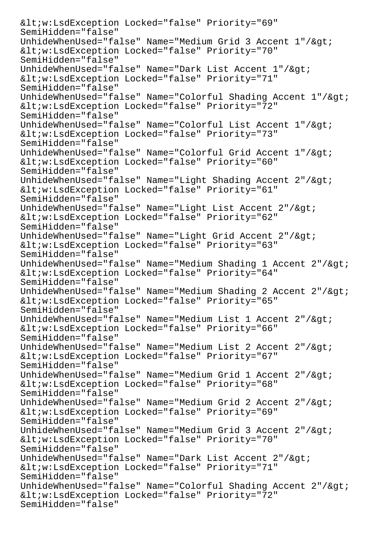$$ SemiHidden="false" UnhideWhenUsed="false" Name="Medium Grid 3 Accent  $1" / \>$  $$ SemiHidden="false" UnhideWhenUsed="false" Name="Dark List Accent 1"/> <w:LsdException Locked="false" Priority="71" SemiHidden="false" UnhideWhenUsed="false" Name="Colorful Shading Accent 1"/> <w:LsdException Locked="false" Priority="72" SemiHidden="false" UnhideWhenUsed="false" Name="Colorful List Accent 1"/&qt;  $$ SemiHidden="false" UnhideWhenUsed="false" Name="Colorful Grid Accent 1"/> <w:LsdException Locked="false" Priority="60" SemiHidden="false" UnhideWhenUsed="false" Name="Light Shading Accent 2"/> <w:LsdException Locked="false" Priority="61" SemiHidden="false" UnhideWhenUsed="false" Name="Light List Accent  $2" / \>$ gt;  $$ SemiHidden="false" UnhideWhenUsed="false" Name="Light Grid Accent 2"/>  $$ SemiHidden="false" UnhideWhenUsed="false" Name="Medium Shading 1 Accent 2"/>  $$ SemiHidden="false" UnhideWhenUsed="false" Name="Medium Shading 2 Accent 2"/> <w:LsdException Locked="false" Priority="65" SemiHidden="false" UnhideWhenUsed="false" Name="Medium List 1 Accent 2"/&qt; <w:LsdException Locked="false" Priority="66" SemiHidden="false" UnhideWhenUsed="false" Name="Medium List 2 Accent  $2" / 8 q t$ ;  $$ SemiHidden="false" UnhideWhenUsed="false" Name="Medium Grid 1 Accent 2"/&qt; <w:LsdException Locked="false" Priority="68" SemiHidden="false" UnhideWhenUsed="false" Name="Medium Grid 2 Accent 2"/>  $$ SemiHidden="false" UnhideWhenUsed="false" Name="Medium Grid 3 Accent 2"/> <w:LsdException Locked="false" Priority="70" SemiHidden="false" UnhideWhenUsed="false" Name="Dark List Accent 2"/>  $$ SemiHidden="false" UnhideWhenUsed="false" Name="Colorful Shading Accent 2"/> <w:LsdException Locked="false" Priority="72" SemiHidden="false"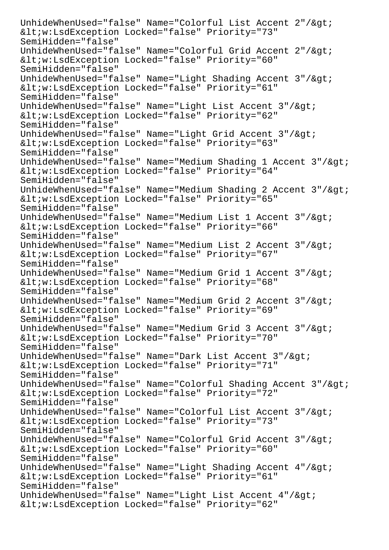UnhideWhenUsed="false" Name="Colorful List Accent 2"/> <w:LsdException Locked="false" Priority="73" SemiHidden="false" UnhideWhenUsed="false" Name="Colorful Grid Accent 2"/&qt;  $$ SemiHidden="false" UnhideWhenUsed="false" Name="Light Shading Accent  $3" / \text{sqrt}$ ; <w:LsdException Locked="false" Priority="61" SemiHidden="false" UnhideWhenUsed="false" Name="Light List Accent  $3" / \>$ <w:LsdException Locked="false" Priority="62" SemiHidden="false" UnhideWhenUsed="false" Name="Light Grid Accent 3"/>  $$ SemiHidden="false" UnhideWhenUsed="false" Name="Medium Shading 1 Accent 3"/&qt;  $$ SemiHidden="false" UnhideWhenUsed="false" Name="Medium Shading 2 Accent 3"/&qt; <w:LsdException Locked="false" Priority="65" SemiHidden="false" UnhideWhenUsed="false" Name="Medium List 1 Accent  $3" /$ &qt; <w:LsdException Locked="false" Priority="66" SemiHidden="false" UnhideWhenUsed="false" Name="Medium List 2 Accent 3"/>  $$ SemiHidden="false" UnhideWhenUsed="false" Name="Medium Grid 1 Accent 3"/> <w:LsdException Locked="false" Priority="68" SemiHidden="false" UnhideWhenUsed="false" Name="Medium Grid 2 Accent  $3" / \sqrt{3}$ t;  $$ SemiHidden="false" UnhideWhenUsed="false" Name="Medium Grid 3 Accent  $3" / \sqrt{2}$ t; <w:LsdException Locked="false" Priority="70" SemiHidden="false" UnhideWhenUsed="false" Name="Dark List Accent  $3" / \&qt$  $$ SemiHidden="false" UnhideWhenUsed="false" Name="Colorful Shading Accent 3"/&qt;  $$ SemiHidden="false" UnhideWhenUsed="false" Name="Colorful List Accent 3"/&qt;  $$ SemiHidden="false" UnhideWhenUsed="false" Name="Colorful Grid Accent 3"/>  $$ SemiHidden="false" UnhideWhenUsed="false" Name="Light Shading Accent  $4$ "/&qt; <w:LsdException Locked="false" Priority="61" SemiHidden="false" UnhideWhenUsed="false" Name="Light List Accent  $4" / \>$  $$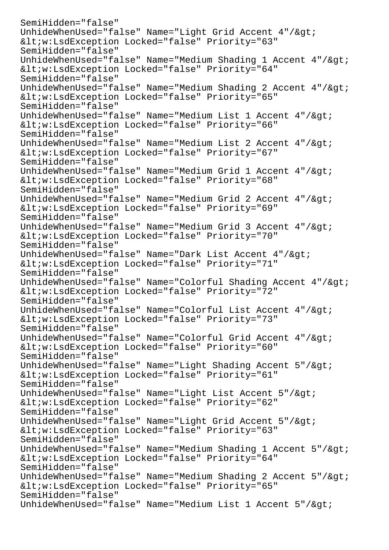```
SemiHidden="false"
UnhideWhenUsed="false" Name="Light Grid Accent 4"/&qt;
<iv:LsdException Locked="false" Priority="63"SemiHidden="false"
UnhideWhenUsed="false" Name="Medium Shading 1 Accent 4"/>
<iv:LsdException Locked="false" Priority="64"SemiHidden="false"
UnhideWhenUsed="false" Name="Medium Shading 2 Accent 4"/>
<w:LsdException Locked="false" Priority="65"
SemiHidden="false"
UnhideWhenUsed="false" Name="Medium List 1 Accent 4"/>
<w:LsdException Locked="false" Priority="66"
SemiHidden="false"
UnhideWhenUsed="false" Name="Medium List 2 Accent 4"/>
<iv:LsdException Locked="false" Priority="67"SemiHidden="false"
UnhideWhenUsed="false" Name="Medium Grid 1 Accent 4" /&qt;
<iv:LsdException Locked="false" Priority="68"SemiHidden="false"
UnhideWhenUsed="false" Name="Medium Grid 2 Accent 4" / &qt;
<w:LsdException Locked="false" Priority="69"
SemiHidden="false"
UnhideWhenUsed="false" Name="Medium Grid 3 Accent 4" / \sqrt{2}t;
<iv:LsdException Locked="false" Priority="70"SemiHidden="false"
UnhideWhenUsed="false" Name="Dark List Accent 4" / \&qt;<w:LsdException Locked="false" Priority="71"
SemiHidden="false"
UnhideWhenUsed="false" Name="Colorful Shading Accent 4"/>
<iv:LsdException Locked="false" Priority="72"SemiHidden="false"
UnhideWhenUsed="false" Name="Colorful List Accent 4"/&qt;
<iv:LsdException Locked="false" Priority="73"SemiHidden="false"
UnhideWhenUsed="false" Name="Colorful Grid Accent 4"/>
<iv:LsdException Locked="false" Priority="60"SemiHidden="false"
UnhideWhenUsed="false" Name="Light Shading Accent 5"/&qt;
<iv:LsdException Locked="false" Priority="61"SemiHidden="false"
UnhideWhenUsed="false" Name="Light List Accent 5" />
<w:LsdException Locked="false" Priority="62"
SemiHidden="false"
UnhideWhenUsed="false" Name="Light Grid Accent 5"/&qt;
<w:LsdException Locked="false" Priority="63"
SemiHidden="false"
UnhideWhenUsed="false" Name="Medium Shading 1 Accent 5"/&qt;
<w:LsdException Locked="false" Priority="64"
SemiHidden="false"
UnhideWhenUsed="false" Name="Medium Shading 2 Accent 5"/>
<w:LsdException Locked="false" Priority="65"
SemiHidden="false"
UnhideWhenUsed="false" Name="Medium List 1 Accent 5" /&qt;
```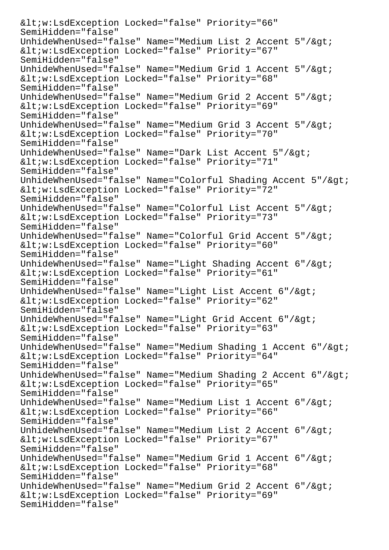$$ SemiHidden="false" UnhideWhenUsed="false" Name="Medium List 2 Accent  $5$ "/&qt; <w:LsdException Locked="false" Priority="67" SemiHidden="false" UnhideWhenUsed="false" Name="Medium Grid 1 Accent  $5" /$ &qt; <w:LsdException Locked="false" Priority="68" SemiHidden="false" UnhideWhenUsed="false" Name="Medium Grid 2 Accent  $5$ "/&qt;  $$ SemiHidden="false" UnhideWhenUsed="false" Name="Medium Grid 3 Accent  $5$ "/&qt;  $$ SemiHidden="false" UnhideWhenUsed="false" Name="Dark List Accent 5"/>  $$ SemiHidden="false" UnhideWhenUsed="false" Name="Colorful Shading Accent 5"/>  $$ SemiHidden="false" UnhideWhenUsed="false" Name="Colorful List Accent 5"/&qt;  $$ SemiHidden="false" UnhideWhenUsed="false" Name="Colorful Grid Accent 5"/> <w:LsdException Locked="false" Priority="60" SemiHidden="false" UnhideWhenUsed="false" Name="Light Shading Accent  $6$ "/>  $$ SemiHidden="false" UnhideWhenUsed="false" Name="Light List Accent  $6$ "/> <w:LsdException Locked="false" Priority="62" SemiHidden="false" UnhideWhenUsed="false" Name="Light Grid Accent 6"/&qt;  $$ SemiHidden="false" UnhideWhenUsed="false" Name="Medium Shading 1 Accent 6"/&qt;  $$ SemiHidden="false" UnhideWhenUsed="false" Name="Medium Shading 2 Accent 6"/&qt; <w:LsdException Locked="false" Priority="65" SemiHidden="false" UnhideWhenUsed="false" Name="Medium List 1 Accent  $6$ "/> <w:LsdException Locked="false" Priority="66" SemiHidden="false" UnhideWhenUsed="false" Name="Medium List 2 Accent 6"/> <w:LsdException Locked="false" Priority="67" SemiHidden="false" UnhideWhenUsed="false" Name="Medium Grid 1 Accent  $6$ "/&qt;  $$ SemiHidden="false" UnhideWhenUsed="false" Name="Medium Grid 2 Accent 6"/> <w:LsdException Locked="false" Priority="69" SemiHidden="false"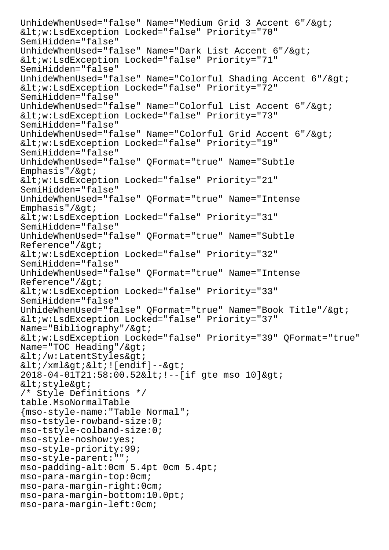UnhideWhenUsed="false" Name="Medium Grid 3 Accent 6"/>  $$ SemiHidden="false" UnhideWhenUsed="false" Name="Dark List Accent 6"/> <w:LsdException Locked="false" Priority="71" SemiHidden="false" UnhideWhenUsed="false" Name="Colorful Shading Accent 6"/>  $$ SemiHidden="false" UnhideWhenUsed="false" Name="Colorful List Accent  $6$ "/&qt;  $$ SemiHidden="false" UnhideWhenUsed="false" Name="Colorful Grid Accent 6"/>  $Locked="false" Priority="19"$ SemiHidden="false" UnhideWhenUsed="false" QFormat="true" Name="Subtle  $Emphasis''/@qt;$  $$ SemiHidden="false" UnhideWhenUsed="false" QFormat="true" Name="Intense Emphasis"/ $>$ ;  $$ SemiHidden="false" UnhideWhenUsed="false" QFormat="true" Name="Subtle  $Reference''/sqrt;$  $$ SemiHidden="false" UnhideWhenUsed="false" QFormat="true" Name="Intense Reference"/&qt; <w:LsdException Locked="false" Priority="33" SemiHidden="false" UnhideWhenUsed="false" QFormat="true" Name="Book Title"/&qt;  $$ Name="Bibliography"/> <w:LsdException Locked="false" Priority="39" QFormat="true" Name="TOC Heading"/ $>q$ ; </w:LatentStyles&qt;  $<$ i $\times$ ml $<$ i $<$ i $<$ i $[endif]$ -- $>$ i 2018-04-01T21:58:00.52< !--[if gte mso 10]&gt;  $<$ istyle $>$ i /\* Style Definitions \*/ table.MsoNormalTable {mso-style-name:"Table Normal"; mso-tstyle-rowband-size:0; mso-tstyle-colband-size:0; mso-style-noshow:yes; mso-style-priority:99; mso-style-parent:""; mso-padding-alt:0cm 5.4pt 0cm 5.4pt; mso-para-margin-top:0cm; mso-para-margin-right:0cm; mso-para-margin-bottom:10.0pt; mso-para-margin-left:0cm;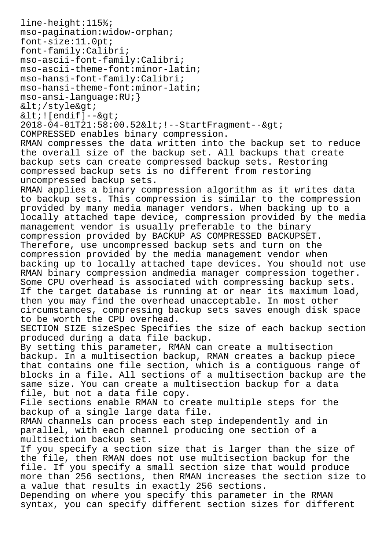```
line-height:115%;
mso-pagination:widow-orphan;
font-size:11.0pt;
font-family:Calibri;
mso-ascii-font-family:Calibri;
mso-ascii-theme-font:minor-latin;
mso-hansi-font-family:Calibri;
mso-hansi-theme-font:minor-latin;
mso-ansi-language:RU;}
</style&gt;
< : [endif] -->2018-04-01T21:58:00.52< !--StartFragment--&gt;
COMPRESSED enables binary compression.
RMAN compresses the data written into the backup set to reduce
the overall size of the backup set. All backups that create
backup sets can create compressed backup sets. Restoring
compressed backup sets is no different from restoring
uncompressed backup sets.
RMAN applies a binary compression algorithm as it writes data
to backup sets. This compression is similar to the compression
provided by many media manager vendors. When backing up to a
locally attached tape device, compression provided by the media
management vendor is usually preferable to the binary
compression provided by BACKUP AS COMPRESSED BACKUPSET.
Therefore, use uncompressed backup sets and turn on the
compression provided by the media management vendor when
backing up to locally attached tape devices. You should not use
RMAN binary compression andmedia manager compression together.
Some CPU overhead is associated with compressing backup sets.
If the target database is running at or near its maximum load,
then you may find the overhead unacceptable. In most other
circumstances, compressing backup sets saves enough disk space
to be worth the CPU overhead.
SECTION SIZE sizeSpec Specifies the size of each backup section
produced during a data file backup.
By setting this parameter, RMAN can create a multisection
backup. In a multisection backup, RMAN creates a backup piece
that contains one file section, which is a contiguous range of
blocks in a file. All sections of a multisection backup are the
same size. You can create a multisection backup for a data
file, but not a data file copy.
File sections enable RMAN to create multiple steps for the
backup of a single large data file.
RMAN channels can process each step independently and in
parallel, with each channel producing one section of a
multisection backup set.
If you specify a section size that is larger than the size of
the file, then RMAN does not use multisection backup for the
file. If you specify a small section size that would produce
more than 256 sections, then RMAN increases the section size to
a value that results in exactly 256 sections.
Depending on where you specify this parameter in the RMAN
syntax, you can specify different section sizes for different
```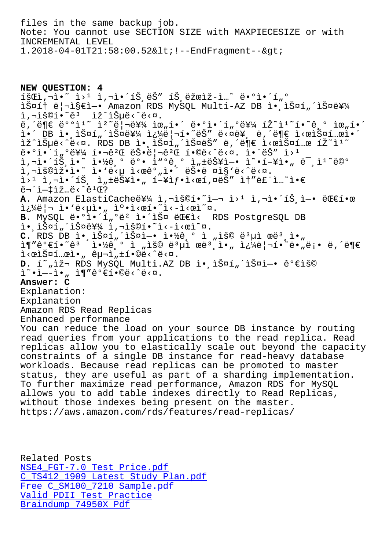Note: You cannot use SECTION SIZE with MAXPIECESIZE or with INCREMENTAL LEVEL 1.2018-04-01T21:58:00.52< !--EndFragment--&gt;

**NEW QUESTION: 4**  $\tilde{1}$ ŠŒì, $\neg$ ì•~ $i > 1$  ì, $\neg$ ì•´íŠ,ëŠ" íŠ,ëžœìž-ì…~ ë•°ì•´í"° 스í† ë¦¬ì§€ì-• Amazon RDS MySQL Multi-AZ DB ì• lФí"´ìФ를 i,"š©í•~êª ìž^습ë‹^다.  $\ddot{e}, \dot{e} \equiv \ddot{e}^{o} \dot{e} \dot{e} \qquad \ddot{e}^{\prime} \ddot{e} \qquad \ddot{e} \equiv \ddot{e}^{o} \dot{e} \pmod{1} \quad \ddot{e} \equiv \ddot{e}^{o} \dot{e} \pmod{1} \quad \ddot{e} \equiv \ddot{e}^{o} \dot{e} \pmod{1} \quad \ddot{e} \equiv \ddot{e} \pmod{1} \quad \ddot{e} \equiv \ddot{e} \pmod{1} \quad \ddot{e} \equiv \ddot{e} \pmod{1} \quad \ddot{e} \equiv \dd$ i.´ DB ì.,스í"´ìФ를 쿼리í.~~ëŠ" ë<¤ë¥, ë,´ë¶€ ì<œìФí…œì.´ lž^lеë<^ë<¤. RDS DB l. lФí"´lФëŠ" ë,´ë¶€ l<œlФí…œ íŽ~l1~  $\ddot{\theta} \cdot \theta$  $\dot{\theta} \cdot \dot{\theta}$  $\dot{\theta}$  $\dot{\theta}$  $\dot{\theta}$  $\dot{\theta}$  $\dot{\theta}$  $\dot{\theta}$  $\dot{\theta}$  $\dot{\theta}$  $\dot{\theta}$  $\dot{\theta}$  $\dot{\theta}$  $\dot{\theta}$  $\dot{\theta}$  $\dot{\theta}$  $\dot{\theta}$  $\dot{\theta}$  $\dot{\theta}$  $\dot{\theta}$  $\dot{\theta}$  $\dot{\theta}$  $\dot{\theta}$  $\dot{\theta}$  $\dot{\theta}$  $\dot{\theta}$  $\dot{\theta}$  $\dot{\theta}$  $\dot{\theta}$  $\dot{\theta}$ 1,¬1•´íЏì•~ 약기 ë°• ìʷ°ê¸° ì"±ëŠ¥ì—• ì~•향아 미ìº~ë©° i,"š©ìž•ì•~ ì•'ë<µ ì<œêº"ì•´ 늕ë ¤ì§'ë<^ë<¤.  $i>1$  ,  $i, -i$  (iš,  $i, \pm i$ 뚥ì $\cdot$ , í-¥ì $f \cdot i <$ ϒ,¤ëš" ì $f$ "ë£"ì...~ì $\cdot \in$  $e^{-2}$  =  $1 - 1$   $2 - 1$   $e^{-2}$   $e^{-2}$   $e^{-2}$ A. Amazon ElastiCache를 ì,¬ìš©í.<sup>~</sup>î-¬ ì>1 ì,¬ì.´íŠ ì-. 대í.œ  $i\frac{1}{4}$ ë |  $\bar{i} \cdot \bar{i} \cdot \bar{k}$  |  $\bar{k} \cdot \bar{k}$  |  $\bar{k} \cdot \bar{k}$  |  $\bar{k} \cdot \bar{k}$  |  $\bar{k} \cdot \bar{k}$  |  $\bar{k} \cdot \bar{k}$  |  $\bar{k} \cdot \bar{k}$  |  $\bar{k} \cdot \bar{k}$  |  $\bar{k} \cdot \bar{k}$  |  $\bar{k} \cdot \bar{k}$  |  $\bar{k} \cdot \bar{k}$  |  $\bar{k} \cdot \bar{k}$  |  $\bar{k} \cdot \bar{k}$  |  $\bar{k} \$ B. MySQL ë.°ì.'í"°ë<sup>2</sup> ì.'스 대ì< RDS PostgreSQL DB i.jš¤í"´ìФ를 ì,¬ìš©í.~`ì<-ì<œì~¤. **C.** RDS DB 앸스í"´ìФì—• 약기 ì "ìš© ë $^3$ µì œë $^3$ ¸ì•" ì¶"ê°€í•~êª ì•½ê¸° ì "ìš© 몵ì œëª¸ì•" 쿼리í•~ë•"ë¡• ë,´ë¶€ i<œlФí…œl•" 구l,±í•©ë<^ë<¤. D. í~"재 RDS MySQL Multi.AZ DB ì• iФí"´ìФì-• 가용  $\tilde{L}^{\sim} \cdot \tilde{L} - \tilde{L} \cdot$  ,  $\tilde{L} \P'' \hat{\theta}^0 \in \tilde{L} \cdot \mathbb{Q} \ddot{\theta} < \tilde{L} \cdot \mathbb{Q}$ . **Answer: C** Explanation: Explanation Amazon RDS Read Replicas Enhanced performance You can reduce the load on your source DB instance by routing read queries from your applications to the read replica. Read replicas allow you to elastically scale out beyond the capacity constraints of a single DB instance for read-heavy database workloads. Because read replicas can be promoted to master status, they are useful as part of a sharding implementation. To further maximize read performance, Amazon RDS for MySQL allows you to add table indexes directly to Read Replicas, without those indexes being present on the master. https://aws.amazon.com/rds/features/read-replicas/

Related Posts NSE4\_FGT-7.0 Test Price.pdf C\_TS412\_1909 Latest Study Plan.pdf Free C\_SM100\_7210 Sample.pdf [Valid PDII Test Practice](https://www.samrock.com.tw/dump-Test-Price.pdf-384040/NSE4_FGT-7.0-exam/) [Braindump 74950X Pdf](https://www.samrock.com.tw/dump-Latest-Study-Plan.pdf-516162/C_TS412_1909-exam/)